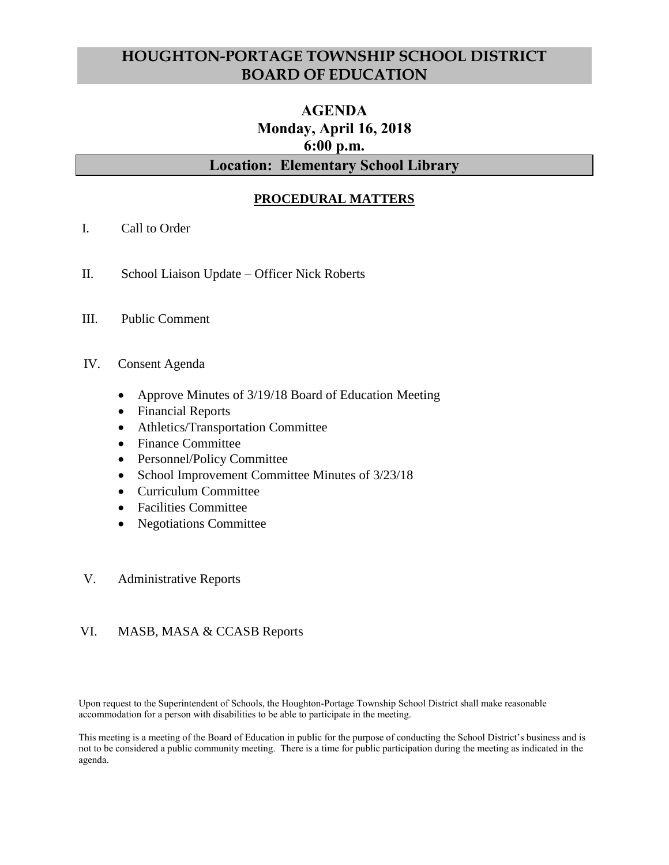## **HOUGHTON-PORTAGE TOWNSHIP SCHOOL DISTRICT BOARD OF EDUCATION**

# **AGENDA Monday, April 16, 2018 6:00 p.m.**

### **Location: Elementary School Library**

#### **PROCEDURAL MATTERS**

- I. Call to Order
- II. School Liaison Update Officer Nick Roberts
- III. Public Comment
- IV. Consent Agenda
	- Approve Minutes of 3/19/18 Board of Education Meeting
	- Financial Reports
	- Athletics/Transportation Committee
	- Finance Committee
	- Personnel/Policy Committee
	- School Improvement Committee Minutes of 3/23/18
	- Curriculum Committee
	- Facilities Committee
	- Negotiations Committee
- V. Administrative Reports

#### VI. MASB, MASA & CCASB Reports

Upon request to the Superintendent of Schools, the Houghton-Portage Township School District shall make reasonable accommodation for a person with disabilities to be able to participate in the meeting.

This meeting is a meeting of the Board of Education in public for the purpose of conducting the School District's business and is not to be considered a public community meeting. There is a time for public participation during the meeting as indicated in the agenda.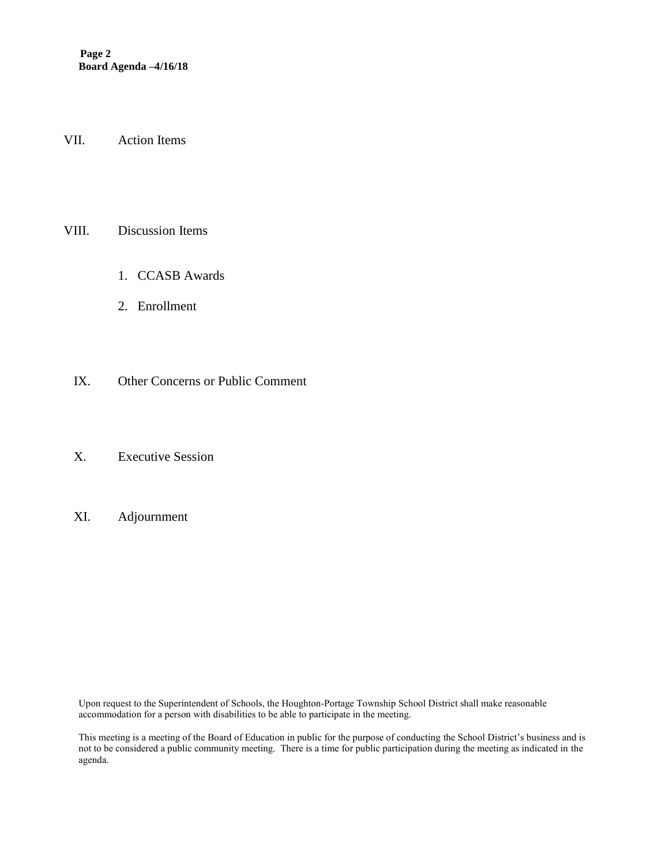**Page 2 Board Agenda –4/16/18**

VII. Action Items

#### VIII. Discussion Items

- 1. CCASB Awards
- 2. Enrollment
- IX. Other Concerns or Public Comment
- X. Executive Session
- XI. Adjournment

Upon request to the Superintendent of Schools, the Houghton-Portage Township School District shall make reasonable accommodation for a person with disabilities to be able to participate in the meeting.

This meeting is a meeting of the Board of Education in public for the purpose of conducting the School District's business and is not to be considered a public community meeting. There is a time for public participation during the meeting as indicated in the agenda.